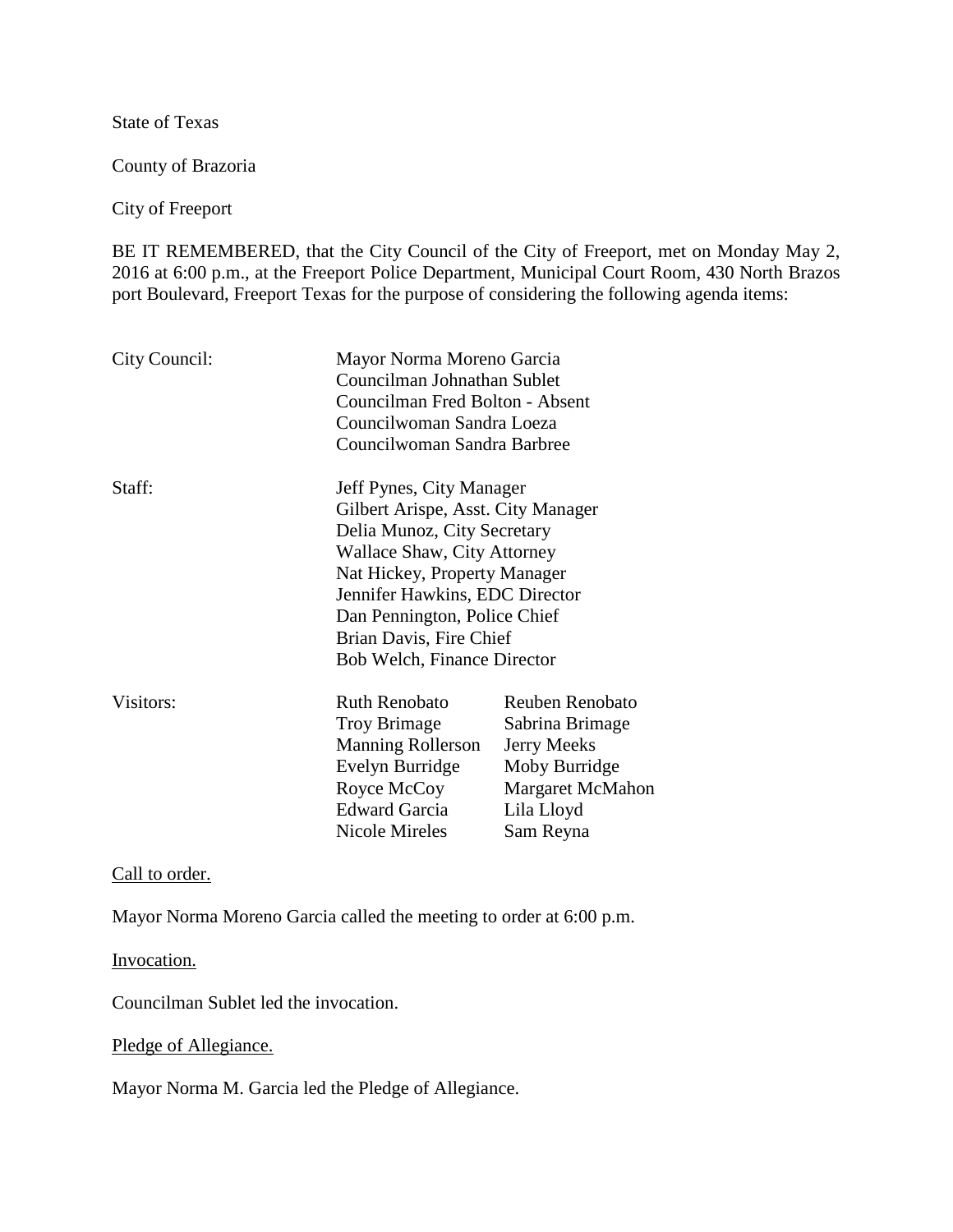State of Texas

County of Brazoria

City of Freeport

BE IT REMEMBERED, that the City Council of the City of Freeport, met on Monday May 2, 2016 at 6:00 p.m., at the Freeport Police Department, Municipal Court Room, 430 North Brazos port Boulevard, Freeport Texas for the purpose of considering the following agenda items:

| City Council: | Mayor Norma Moreno Garcia                                |                         |
|---------------|----------------------------------------------------------|-------------------------|
|               | Councilman Johnathan Sublet                              |                         |
|               | Councilman Fred Bolton - Absent                          |                         |
|               | Councilwoman Sandra Loeza<br>Councilwoman Sandra Barbree |                         |
|               |                                                          |                         |
| Staff:        | Jeff Pynes, City Manager                                 |                         |
|               | Gilbert Arispe, Asst. City Manager                       |                         |
|               | Delia Munoz, City Secretary                              |                         |
|               | Wallace Shaw, City Attorney                              |                         |
|               | Nat Hickey, Property Manager                             |                         |
|               | Jennifer Hawkins, EDC Director                           |                         |
|               | Dan Pennington, Police Chief                             |                         |
|               | Brian Davis, Fire Chief                                  |                         |
|               | Bob Welch, Finance Director                              |                         |
| Visitors:     | <b>Ruth Renobato</b>                                     | <b>Reuben Renobato</b>  |
|               | <b>Troy Brimage</b>                                      | Sabrina Brimage         |
|               | <b>Manning Rollerson</b>                                 | <b>Jerry Meeks</b>      |
|               | Evelyn Burridge                                          | Moby Burridge           |
|               | Royce McCoy                                              | <b>Margaret McMahon</b> |
|               | <b>Edward Garcia</b>                                     | Lila Lloyd              |
|               | <b>Nicole Mireles</b>                                    | Sam Reyna               |

Call to order.

Mayor Norma Moreno Garcia called the meeting to order at 6:00 p.m.

Invocation.

Councilman Sublet led the invocation.

Pledge of Allegiance.

Mayor Norma M. Garcia led the Pledge of Allegiance.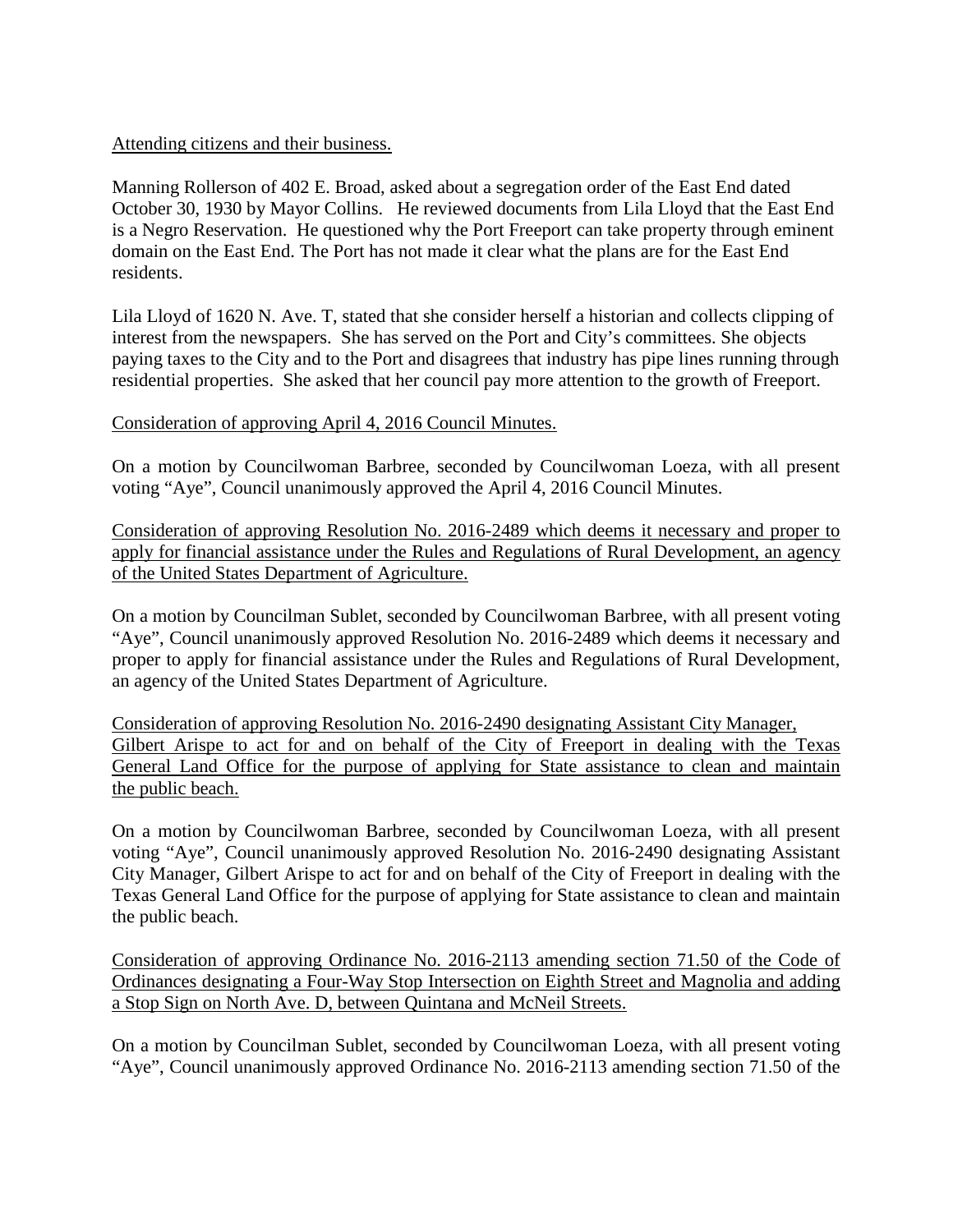#### Attending citizens and their business.

Manning Rollerson of 402 E. Broad, asked about a segregation order of the East End dated October 30, 1930 by Mayor Collins. He reviewed documents from Lila Lloyd that the East End is a Negro Reservation. He questioned why the Port Freeport can take property through eminent domain on the East End. The Port has not made it clear what the plans are for the East End residents.

Lila Lloyd of 1620 N. Ave. T, stated that she consider herself a historian and collects clipping of interest from the newspapers. She has served on the Port and City's committees. She objects paying taxes to the City and to the Port and disagrees that industry has pipe lines running through residential properties. She asked that her council pay more attention to the growth of Freeport.

#### Consideration of approving April 4, 2016 Council Minutes.

On a motion by Councilwoman Barbree, seconded by Councilwoman Loeza, with all present voting "Aye", Council unanimously approved the April 4, 2016 Council Minutes.

Consideration of approving Resolution No. 2016-2489 which deems it necessary and proper to apply for financial assistance under the Rules and Regulations of Rural Development, an agency of the United States Department of Agriculture.

On a motion by Councilman Sublet, seconded by Councilwoman Barbree, with all present voting "Aye", Council unanimously approved Resolution No. 2016-2489 which deems it necessary and proper to apply for financial assistance under the Rules and Regulations of Rural Development, an agency of the United States Department of Agriculture.

Consideration of approving Resolution No. 2016-2490 designating Assistant City Manager, Gilbert Arispe to act for and on behalf of the City of Freeport in dealing with the Texas General Land Office for the purpose of applying for State assistance to clean and maintain the public beach.

On a motion by Councilwoman Barbree, seconded by Councilwoman Loeza, with all present voting "Aye", Council unanimously approved Resolution No. 2016-2490 designating Assistant City Manager, Gilbert Arispe to act for and on behalf of the City of Freeport in dealing with the Texas General Land Office for the purpose of applying for State assistance to clean and maintain the public beach.

Consideration of approving Ordinance No. 2016-2113 amending section 71.50 of the Code of Ordinances designating a Four-Way Stop Intersection on Eighth Street and Magnolia and adding a Stop Sign on North Ave. D, between Quintana and McNeil Streets.

On a motion by Councilman Sublet, seconded by Councilwoman Loeza, with all present voting "Aye", Council unanimously approved Ordinance No. 2016-2113 amending section 71.50 of the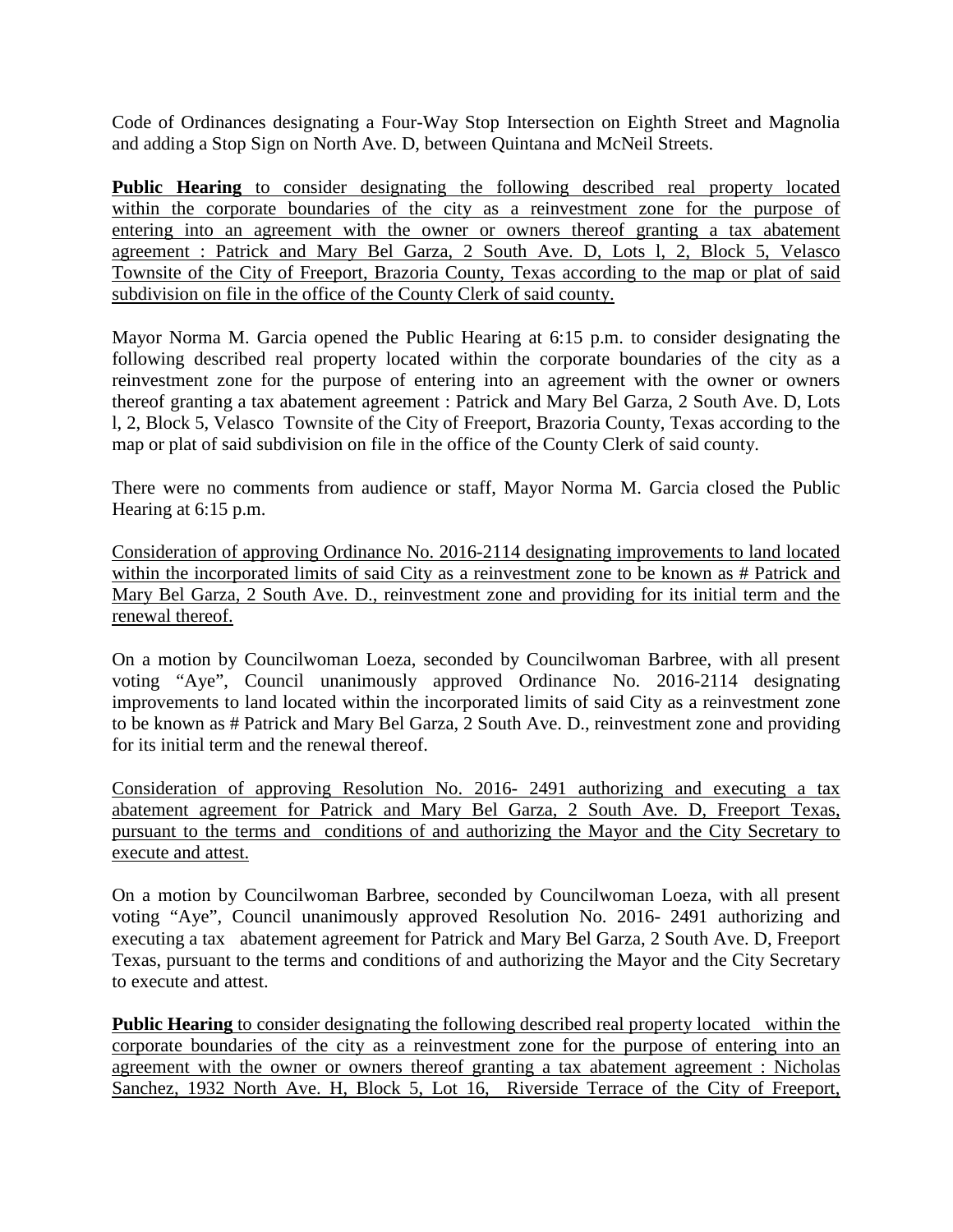Code of Ordinances designating a Four-Way Stop Intersection on Eighth Street and Magnolia and adding a Stop Sign on North Ave. D, between Quintana and McNeil Streets.

**Public Hearing** to consider designating the following described real property located within the corporate boundaries of the city as a reinvestment zone for the purpose of entering into an agreement with the owner or owners thereof granting a tax abatement agreement : Patrick and Mary Bel Garza, 2 South Ave. D, Lots l, 2, Block 5, Velasco Townsite of the City of Freeport, Brazoria County, Texas according to the map or plat of said subdivision on file in the office of the County Clerk of said county.

Mayor Norma M. Garcia opened the Public Hearing at 6:15 p.m. to consider designating the following described real property located within the corporate boundaries of the city as a reinvestment zone for the purpose of entering into an agreement with the owner or owners thereof granting a tax abatement agreement : Patrick and Mary Bel Garza, 2 South Ave. D, Lots l, 2, Block 5, Velasco Townsite of the City of Freeport, Brazoria County, Texas according to the map or plat of said subdivision on file in the office of the County Clerk of said county.

There were no comments from audience or staff, Mayor Norma M. Garcia closed the Public Hearing at 6:15 p.m.

Consideration of approving Ordinance No. 2016-2114 designating improvements to land located within the incorporated limits of said City as a reinvestment zone to be known as # Patrick and Mary Bel Garza, 2 South Ave. D., reinvestment zone and providing for its initial term and the renewal thereof.

On a motion by Councilwoman Loeza, seconded by Councilwoman Barbree, with all present voting "Aye", Council unanimously approved Ordinance No. 2016-2114 designating improvements to land located within the incorporated limits of said City as a reinvestment zone to be known as # Patrick and Mary Bel Garza, 2 South Ave. D., reinvestment zone and providing for its initial term and the renewal thereof.

Consideration of approving Resolution No. 2016- 2491 authorizing and executing a tax abatement agreement for Patrick and Mary Bel Garza, 2 South Ave. D, Freeport Texas, pursuant to the terms and conditions of and authorizing the Mayor and the City Secretary to execute and attest.

On a motion by Councilwoman Barbree, seconded by Councilwoman Loeza, with all present voting "Aye", Council unanimously approved Resolution No. 2016- 2491 authorizing and executing a tax abatement agreement for Patrick and Mary Bel Garza, 2 South Ave. D, Freeport Texas, pursuant to the terms and conditions of and authorizing the Mayor and the City Secretary to execute and attest.

**Public Hearing** to consider designating the following described real property located within the corporate boundaries of the city as a reinvestment zone for the purpose of entering into an agreement with the owner or owners thereof granting a tax abatement agreement : Nicholas Sanchez, 1932 North Ave. H, Block 5, Lot 16, Riverside Terrace of the City of Freeport,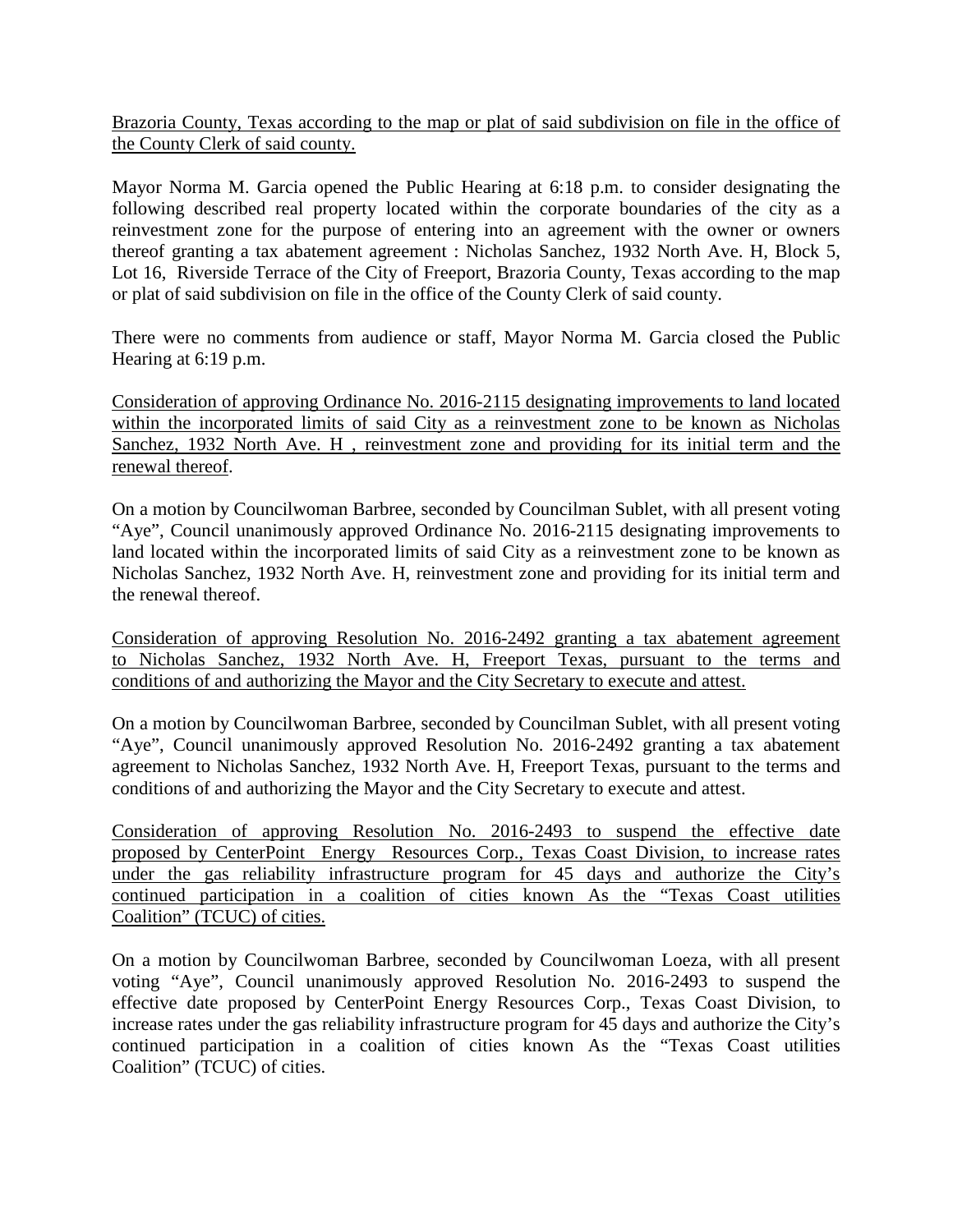Brazoria County, Texas according to the map or plat of said subdivision on file in the office of the County Clerk of said county.

Mayor Norma M. Garcia opened the Public Hearing at 6:18 p.m. to consider designating the following described real property located within the corporate boundaries of the city as a reinvestment zone for the purpose of entering into an agreement with the owner or owners thereof granting a tax abatement agreement : Nicholas Sanchez, 1932 North Ave. H, Block 5, Lot 16, Riverside Terrace of the City of Freeport, Brazoria County, Texas according to the map or plat of said subdivision on file in the office of the County Clerk of said county.

There were no comments from audience or staff, Mayor Norma M. Garcia closed the Public Hearing at 6:19 p.m.

Consideration of approving Ordinance No. 2016-2115 designating improvements to land located within the incorporated limits of said City as a reinvestment zone to be known as Nicholas Sanchez, 1932 North Ave. H, reinvestment zone and providing for its initial term and the renewal thereof.

On a motion by Councilwoman Barbree, seconded by Councilman Sublet, with all present voting "Aye", Council unanimously approved Ordinance No. 2016-2115 designating improvements to land located within the incorporated limits of said City as a reinvestment zone to be known as Nicholas Sanchez, 1932 North Ave. H, reinvestment zone and providing for its initial term and the renewal thereof.

Consideration of approving Resolution No. 2016-2492 granting a tax abatement agreement to Nicholas Sanchez, 1932 North Ave. H, Freeport Texas, pursuant to the terms and conditions of and authorizing the Mayor and the City Secretary to execute and attest.

On a motion by Councilwoman Barbree, seconded by Councilman Sublet, with all present voting "Aye", Council unanimously approved Resolution No. 2016-2492 granting a tax abatement agreement to Nicholas Sanchez, 1932 North Ave. H, Freeport Texas, pursuant to the terms and conditions of and authorizing the Mayor and the City Secretary to execute and attest.

Consideration of approving Resolution No. 2016-2493 to suspend the effective date proposed by CenterPoint Energy Resources Corp., Texas Coast Division, to increase rates under the gas reliability infrastructure program for 45 days and authorize the City's continued participation in a coalition of cities known As the "Texas Coast utilities Coalition" (TCUC) of cities.

On a motion by Councilwoman Barbree, seconded by Councilwoman Loeza, with all present voting "Aye", Council unanimously approved Resolution No. 2016-2493 to suspend the effective date proposed by CenterPoint Energy Resources Corp., Texas Coast Division, to increase rates under the gas reliability infrastructure program for 45 days and authorize the City's continued participation in a coalition of cities known As the "Texas Coast utilities Coalition" (TCUC) of cities.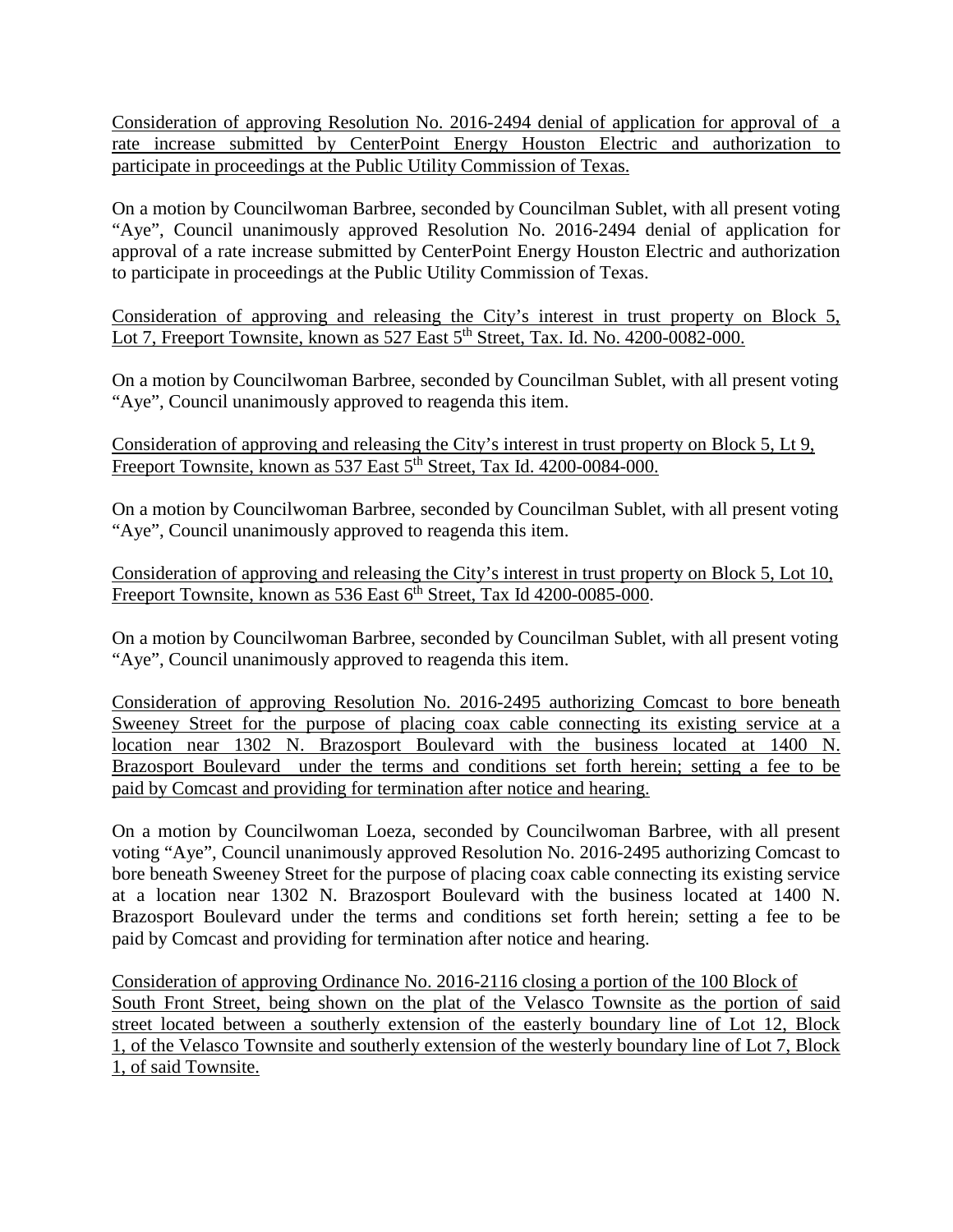Consideration of approving Resolution No. 2016-2494 denial of application for approval of a rate increase submitted by CenterPoint Energy Houston Electric and authorization to participate in proceedings at the Public Utility Commission of Texas.

On a motion by Councilwoman Barbree, seconded by Councilman Sublet, with all present voting "Aye", Council unanimously approved Resolution No. 2016-2494 denial of application for approval of a rate increase submitted by CenterPoint Energy Houston Electric and authorization to participate in proceedings at the Public Utility Commission of Texas.

Consideration of approving and releasing the City's interest in trust property on Block 5, Lot 7, Freeport Townsite, known as 527 East 5<sup>th</sup> Street, Tax. Id. No. 4200-0082-000.

On a motion by Councilwoman Barbree, seconded by Councilman Sublet, with all present voting "Aye", Council unanimously approved to reagenda this item.

Consideration of approving and releasing the City's interest in trust property on Block 5, Lt 9, Freeport Townsite, known as 537 East 5<sup>th</sup> Street, Tax Id. 4200-0084-000.

On a motion by Councilwoman Barbree, seconded by Councilman Sublet, with all present voting "Aye", Council unanimously approved to reagenda this item.

Consideration of approving and releasing the City's interest in trust property on Block 5, Lot 10, Freeport Townsite, known as 536 East  $6<sup>th</sup>$  Street, Tax Id 4200-0085-000.

On a motion by Councilwoman Barbree, seconded by Councilman Sublet, with all present voting "Aye", Council unanimously approved to reagenda this item.

Consideration of approving Resolution No. 2016-2495 authorizing Comcast to bore beneath Sweeney Street for the purpose of placing coax cable connecting its existing service at a location near 1302 N. Brazosport Boulevard with the business located at 1400 N. Brazosport Boulevard under the terms and conditions set forth herein; setting a fee to be paid by Comcast and providing for termination after notice and hearing.

On a motion by Councilwoman Loeza, seconded by Councilwoman Barbree, with all present voting "Aye", Council unanimously approved Resolution No. 2016-2495 authorizing Comcast to bore beneath Sweeney Street for the purpose of placing coax cable connecting its existing service at a location near 1302 N. Brazosport Boulevard with the business located at 1400 N. Brazosport Boulevard under the terms and conditions set forth herein; setting a fee to be paid by Comcast and providing for termination after notice and hearing.

Consideration of approving Ordinance No. 2016-2116 closing a portion of the 100 Block of South Front Street, being shown on the plat of the Velasco Townsite as the portion of said street located between a southerly extension of the easterly boundary line of Lot 12, Block 1, of the Velasco Townsite and southerly extension of the westerly boundary line of Lot 7, Block 1, of said Townsite.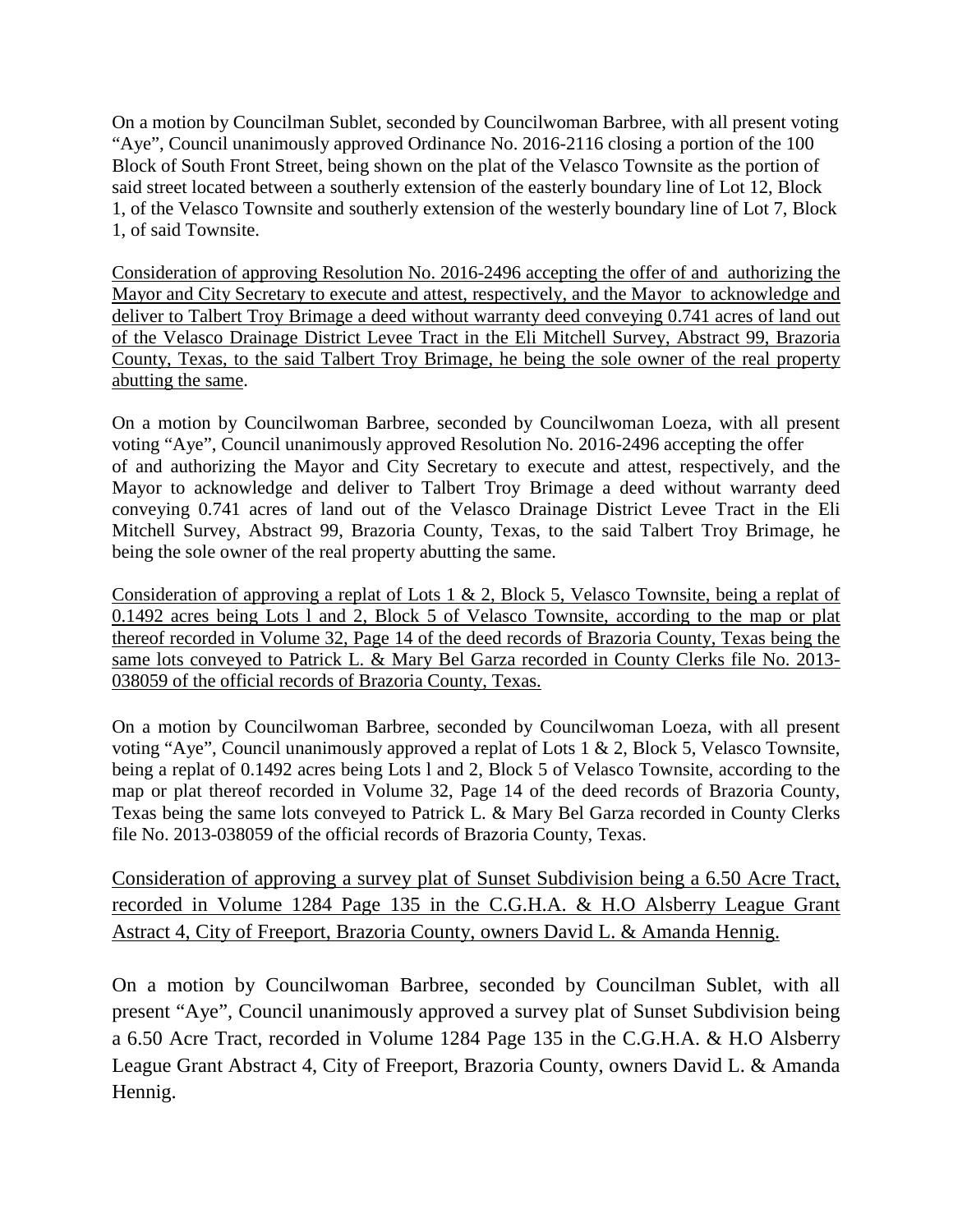On a motion by Councilman Sublet, seconded by Councilwoman Barbree, with all present voting "Aye", Council unanimously approved Ordinance No. 2016-2116 closing a portion of the 100 Block of South Front Street, being shown on the plat of the Velasco Townsite as the portion of said street located between a southerly extension of the easterly boundary line of Lot 12, Block 1, of the Velasco Townsite and southerly extension of the westerly boundary line of Lot 7, Block 1, of said Townsite.

Consideration of approving Resolution No. 2016-2496 accepting the offer of and authorizing the Mayor and City Secretary to execute and attest, respectively, and the Mayor to acknowledge and deliver to Talbert Troy Brimage a deed without warranty deed conveying 0.741 acres of land out of the Velasco Drainage District Levee Tract in the Eli Mitchell Survey, Abstract 99, Brazoria County, Texas, to the said Talbert Troy Brimage, he being the sole owner of the real property abutting the same.

On a motion by Councilwoman Barbree, seconded by Councilwoman Loeza, with all present voting "Aye", Council unanimously approved Resolution No. 2016-2496 accepting the offer of and authorizing the Mayor and City Secretary to execute and attest, respectively, and the Mayor to acknowledge and deliver to Talbert Troy Brimage a deed without warranty deed conveying 0.741 acres of land out of the Velasco Drainage District Levee Tract in the Eli Mitchell Survey, Abstract 99, Brazoria County, Texas, to the said Talbert Troy Brimage, he being the sole owner of the real property abutting the same.

Consideration of approving a replat of Lots 1 & 2, Block 5, Velasco Townsite, being a replat of 0.1492 acres being Lots l and 2, Block 5 of Velasco Townsite, according to the map or plat thereof recorded in Volume 32, Page 14 of the deed records of Brazoria County, Texas being the same lots conveyed to Patrick L. & Mary Bel Garza recorded in County Clerks file No. 2013- 038059 of the official records of Brazoria County, Texas.

On a motion by Councilwoman Barbree, seconded by Councilwoman Loeza, with all present voting "Aye", Council unanimously approved a replat of Lots 1 & 2, Block 5, Velasco Townsite, being a replat of 0.1492 acres being Lots l and 2, Block 5 of Velasco Townsite, according to the map or plat thereof recorded in Volume 32, Page 14 of the deed records of Brazoria County, Texas being the same lots conveyed to Patrick L. & Mary Bel Garza recorded in County Clerks file No. 2013-038059 of the official records of Brazoria County, Texas.

Consideration of approving a survey plat of Sunset Subdivision being a 6.50 Acre Tract, recorded in Volume 1284 Page 135 in the C.G.H.A. & H.O Alsberry League Grant Astract 4, City of Freeport, Brazoria County, owners David L. & Amanda Hennig.

On a motion by Councilwoman Barbree, seconded by Councilman Sublet, with all present "Aye", Council unanimously approved a survey plat of Sunset Subdivision being a 6.50 Acre Tract, recorded in Volume 1284 Page 135 in the C.G.H.A. & H.O Alsberry League Grant Abstract 4, City of Freeport, Brazoria County, owners David L. & Amanda Hennig.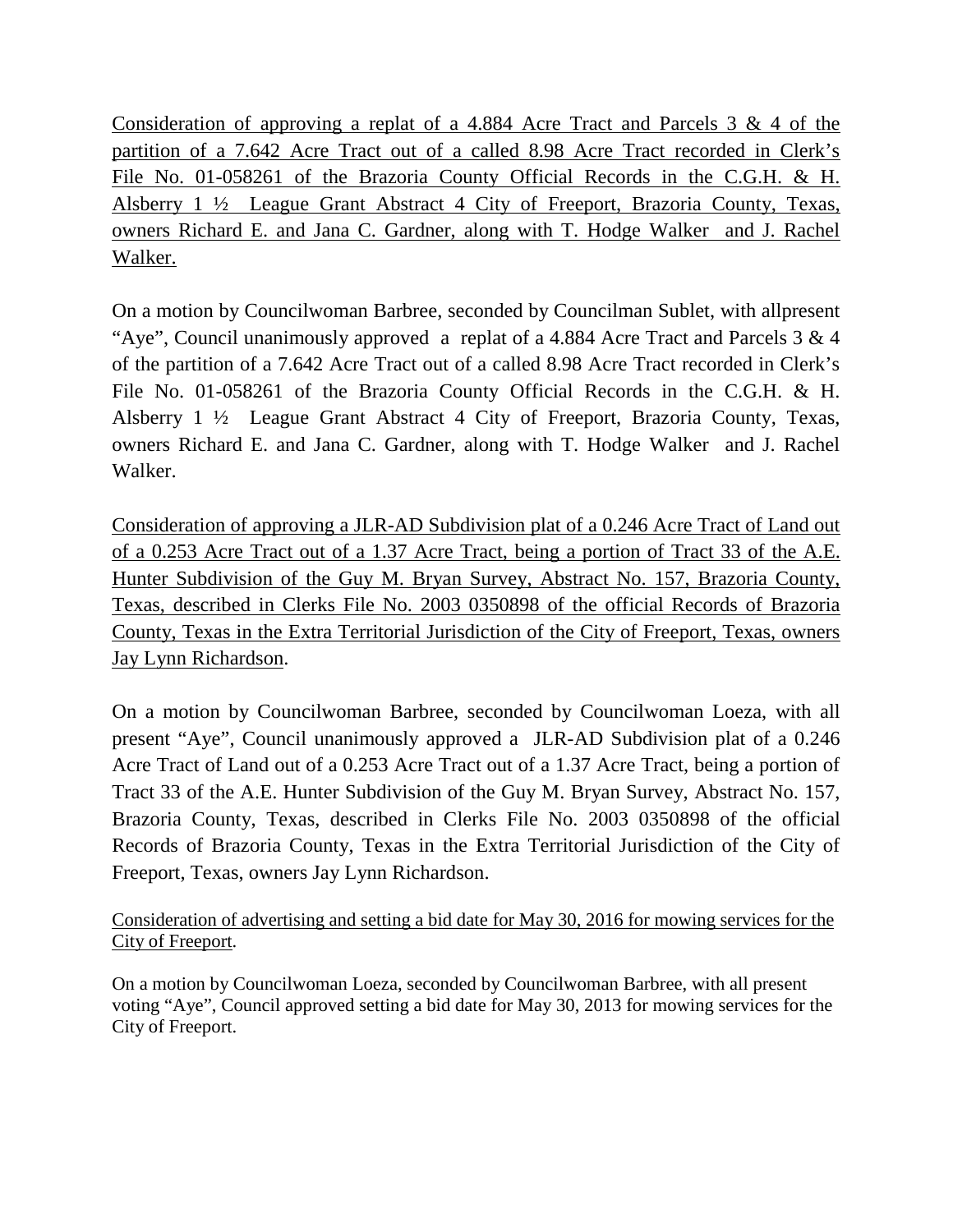Consideration of approving a replat of a 4.884 Acre Tract and Parcels 3 & 4 of the partition of a 7.642 Acre Tract out of a called 8.98 Acre Tract recorded in Clerk's File No. 01-058261 of the Brazoria County Official Records in the C.G.H. & H. Alsberry 1 ½ League Grant Abstract 4 City of Freeport, Brazoria County, Texas, owners Richard E. and Jana C. Gardner, along with T. Hodge Walker and J. Rachel Walker.

On a motion by Councilwoman Barbree, seconded by Councilman Sublet, with allpresent "Aye", Council unanimously approved a replat of a 4.884 Acre Tract and Parcels  $3 \& 4$ of the partition of a 7.642 Acre Tract out of a called 8.98 Acre Tract recorded in Clerk's File No. 01-058261 of the Brazoria County Official Records in the C.G.H. & H. Alsberry 1 ½ League Grant Abstract 4 City of Freeport, Brazoria County, Texas, owners Richard E. and Jana C. Gardner, along with T. Hodge Walker and J. Rachel Walker.

Consideration of approving a JLR-AD Subdivision plat of a 0.246 Acre Tract of Land out of a 0.253 Acre Tract out of a 1.37 Acre Tract, being a portion of Tract 33 of the A.E. Hunter Subdivision of the Guy M. Bryan Survey, Abstract No. 157, Brazoria County, Texas, described in Clerks File No. 2003 0350898 of the official Records of Brazoria County, Texas in the Extra Territorial Jurisdiction of the City of Freeport, Texas, owners Jay Lynn Richardson.

On a motion by Councilwoman Barbree, seconded by Councilwoman Loeza, with all present "Aye", Council unanimously approved a JLR-AD Subdivision plat of a 0.246 Acre Tract of Land out of a 0.253 Acre Tract out of a 1.37 Acre Tract, being a portion of Tract 33 of the A.E. Hunter Subdivision of the Guy M. Bryan Survey, Abstract No. 157, Brazoria County, Texas, described in Clerks File No. 2003 0350898 of the official Records of Brazoria County, Texas in the Extra Territorial Jurisdiction of the City of Freeport, Texas, owners Jay Lynn Richardson.

Consideration of advertising and setting a bid date for May 30, 2016 for mowing services for the City of Freeport.

On a motion by Councilwoman Loeza, seconded by Councilwoman Barbree, with all present voting "Aye", Council approved setting a bid date for May 30, 2013 for mowing services for the City of Freeport.